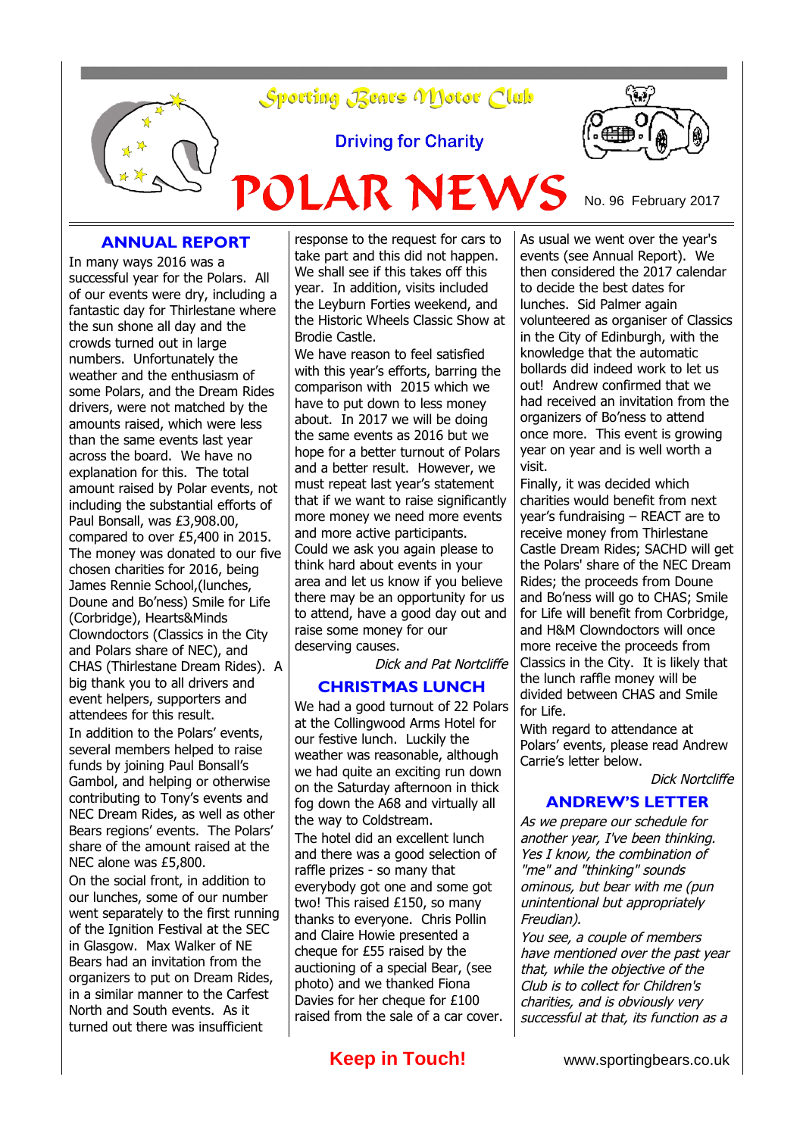

**Driving for Charity** 

POLAR NEWS



No. 96 February 2017

### **ANNUAL REPORT**

In many ways 2016 was a successful year for the Polars. All of our events were dry, including a fantastic day for Thirlestane where the sun shone all day and the crowds turned out in large numbers. Unfortunately the weather and the enthusiasm of some Polars, and the Dream Rides drivers, were not matched by the amounts raised, which were less than the same events last year across the board. We have no explanation for this. The total amount raised by Polar events, not including the substantial efforts of Paul Bonsall, was £3,908.00, compared to over £5,400 in 2015. The money was donated to our five chosen charities for 2016, being James Rennie School,(lunches, Doune and Bo'ness) Smile for Life (Corbridge), Hearts&Minds Clowndoctors (Classics in the City and Polars share of NEC), and CHAS (Thirlestane Dream Rides). A big thank you to all drivers and event helpers, supporters and attendees for this result. In addition to the Polars' events,

several members helped to raise funds by joining Paul Bonsall's Gambol, and helping or otherwise contributing to Tony's events and NEC Dream Rides, as well as other Bears regions' events. The Polars' share of the amount raised at the NEC alone was £5,800.

On the social front, in addition to our lunches, some of our number went separately to the first running of the Ignition Festival at the SEC in Glasgow. Max Walker of NE Bears had an invitation from the organizers to put on Dream Rides, in a similar manner to the Carfest North and South events. As it turned out there was insufficient

response to the request for cars to take part and this did not happen. We shall see if this takes off this year. In addition, visits included the Leyburn Forties weekend, and the Historic Wheels Classic Show at Brodie Castle.

We have reason to feel satisfied with this year's efforts, barring the comparison with 2015 which we have to put down to less money about. In 2017 we will be doing the same events as 2016 but we hope for a better turnout of Polars and a better result. However, we must repeat last year's statement that if we want to raise significantly more money we need more events and more active participants. Could we ask you again please to think hard about events in your area and let us know if you believe there may be an opportunity for us to attend, have a good day out and raise some money for our deserving causes.

Dick and Pat Nortcliffe

### **CHRISTMAS LUNCH**

We had a good turnout of 22 Polars at the Collingwood Arms Hotel for our festive lunch. Luckily the weather was reasonable, although we had quite an exciting run down on the Saturday afternoon in thick fog down the A68 and virtually all the way to Coldstream. The hotel did an excellent lunch and there was a good selection of raffle prizes - so many that everybody got one and some got two! This raised £150, so many thanks to everyone. Chris Pollin and Claire Howie presented a cheque for £55 raised by the auctioning of a special Bear, (see photo) and we thanked Fiona Davies for her cheque for £100 raised from the sale of a car cover.

As usual we went over the year's events (see Annual Report). We then considered the 2017 calendar to decide the best dates for lunches. Sid Palmer again volunteered as organiser of Classics in the City of Edinburgh, with the knowledge that the automatic bollards did indeed work to let us out! Andrew confirmed that we had received an invitation from the organizers of Bo'ness to attend once more. This event is growing year on year and is well worth a visit.

Finally, it was decided which charities would benefit from next year's fundraising – REACT are to receive money from Thirlestane Castle Dream Rides; SACHD will get the Polars' share of the NEC Dream Rides; the proceeds from Doune and Bo'ness will go to CHAS; Smile for Life will benefit from Corbridge, and H&M Clowndoctors will once more receive the proceeds from Classics in the City. It is likely that the lunch raffle money will be divided between CHAS and Smile for Life.

With regard to attendance at Polars' events, please read Andrew Carrie's letter below.

Dick Nortcliffe

#### **ANDREW'S LETTER**

As we prepare our schedule for another year, I've been thinking. Yes I know, the combination of "me" and "thinking" sounds ominous, but bear with me (pun unintentional but appropriately Freudian).

You see, a couple of members have mentioned over the past year that, while the objective of the Club is to collect for Children's charities, and is obviously very successful at that, its function as a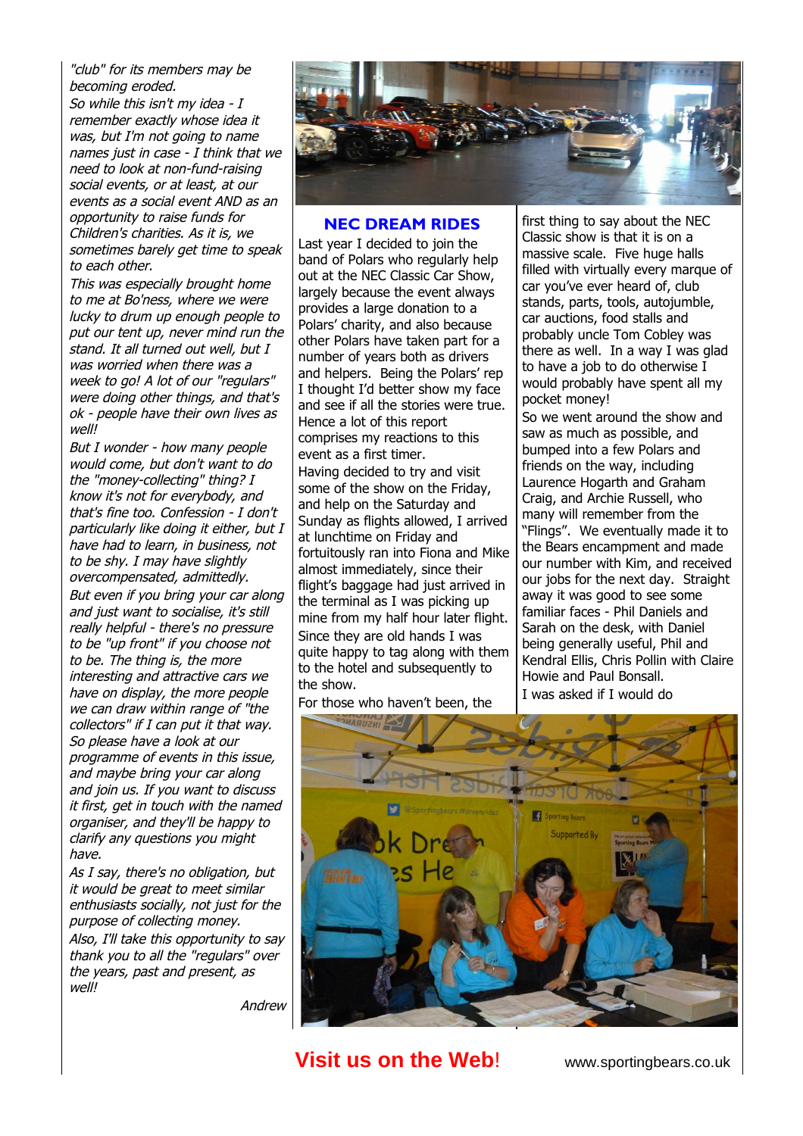"club" for its members may be becoming eroded.

So while this isn't my idea - I remember exactly whose idea it was, but I'm not going to name names just in case - I think that we need to look at non-fund-raising social events, or at least, at our events as a social event AND as an opportunity to raise funds for Children's charities. As it is, we sometimes barely get time to speak to each other.

This was especially brought home to me at Bo'ness, where we were lucky to drum up enough people to put our tent up, never mind run the stand. It all turned out well, but I was worried when there was a week to go! A lot of our "regulars" were doing other things, and that's ok - people have their own lives as well!

But I wonder - how many people would come, but don't want to do the "money-collecting" thing? I know it's not for everybody, and that's fine too. Confession - I don't particularly like doing it either, but I have had to learn, in business, not to be shy. I may have slightly overcompensated, admittedly. But even if you bring your car along and just want to socialise, it's still really helpful - there's no pressure to be "up front" if you choose not to be. The thing is, the more interesting and attractive cars we have on display, the more people we can draw within range of "the collectors" if I can put it that way. So please have a look at our programme of events in this issue, and maybe bring your car along and join us. If you want to discuss it first, get in touch with the named organiser, and they'll be happy to clarify any questions you might have.

As I say, there's no obligation, but it would be great to meet similar enthusiasts socially, not just for the purpose of collecting money. Also, I'll take this opportunity to say thank you to all the "regulars" over the years, past and present, as well!



#### **NEC DREAM RIDES**

Last year I decided to join the band of Polars who regularly help out at the NEC Classic Car Show, largely because the event always provides a large donation to a Polars' charity, and also because other Polars have taken part for a number of years both as drivers and helpers. Being the Polars' rep I thought I'd better show my face and see if all the stories were true. Hence a lot of this report comprises my reactions to this event as a first timer. Having decided to try and visit some of the show on the Friday, and help on the Saturday and Sunday as flights allowed, I arrived at lunchtime on Friday and fortuitously ran into Fiona and Mike almost immediately, since their flight's baggage had just arrived in the terminal as I was picking up mine from my half hour later flight. Since they are old hands I was quite happy to tag along with them to the hotel and subsequently to

For those who haven't been, the

the show.

first thing to say about the NEC Classic show is that it is on a massive scale. Five huge halls filled with virtually every marque of car you've ever heard of, club stands, parts, tools, autojumble, car auctions, food stalls and probably uncle Tom Cobley was there as well. In a way I was glad to have a job to do otherwise I would probably have spent all my pocket money!

So we went around the show and saw as much as possible, and bumped into a few Polars and friends on the way, including Laurence Hogarth and Graham Craig, and Archie Russell, who many will remember from the "Flings". We eventually made it to the Bears encampment and made our number with Kim, and received our jobs for the next day. Straight away it was good to see some familiar faces - Phil Daniels and Sarah on the desk, with Daniel being generally useful, Phil and Kendral Ellis, Chris Pollin with Claire Howie and Paul Bonsall. I was asked if I would do



# **Visit us on the Web!** www.sportingbears.co.uk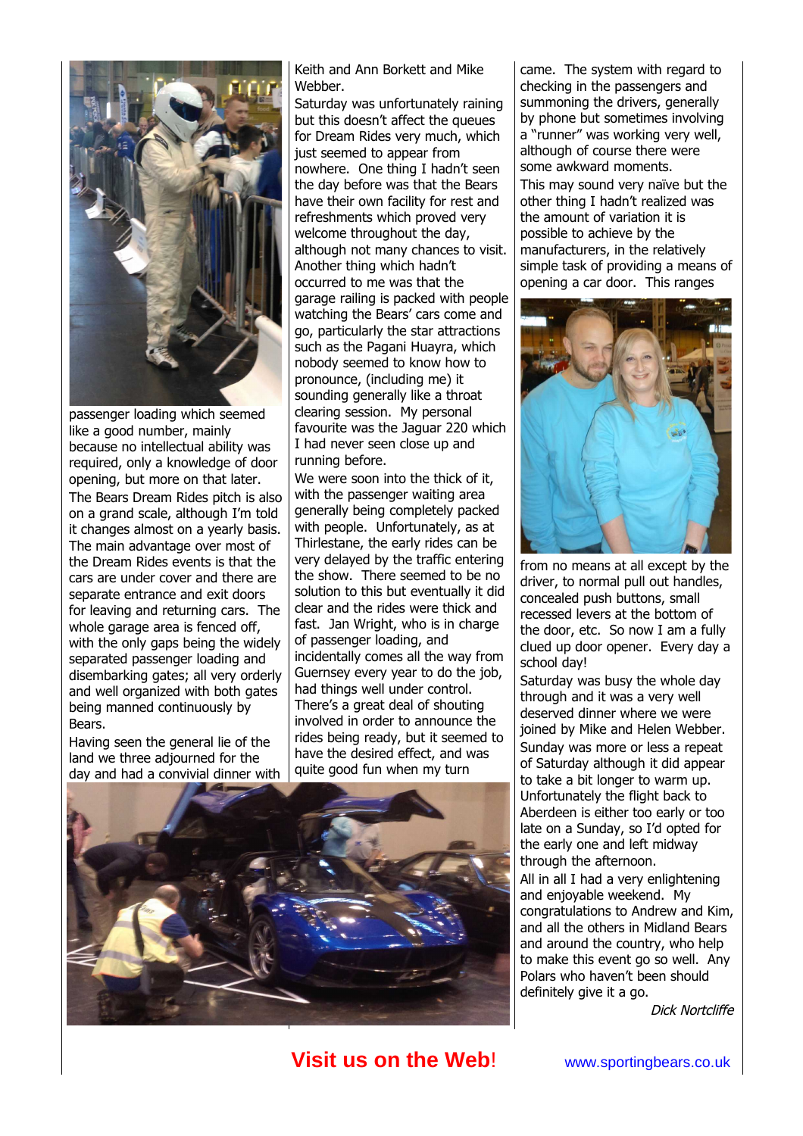

passenger loading which seemed like a good number, mainly because no intellectual ability was required, only a knowledge of door opening, but more on that later. The Bears Dream Rides pitch is also on a grand scale, although I'm told it changes almost on a yearly basis. The main advantage over most of the Dream Rides events is that the cars are under cover and there are separate entrance and exit doors for leaving and returning cars. The whole garage area is fenced off, with the only gaps being the widely separated passenger loading and disembarking gates; all very orderly and well organized with both gates being manned continuously by Bears.

Having seen the general lie of the land we three adjourned for the day and had a convivial dinner with Keith and Ann Borkett and Mike Webber.

Saturday was unfortunately raining but this doesn't affect the queues for Dream Rides very much, which just seemed to appear from nowhere. One thing I hadn't seen the day before was that the Bears have their own facility for rest and refreshments which proved very welcome throughout the day, although not many chances to visit. Another thing which hadn't occurred to me was that the garage railing is packed with people watching the Bears' cars come and go, particularly the star attractions such as the Pagani Huayra, which nobody seemed to know how to pronounce, (including me) it sounding generally like a throat clearing session. My personal favourite was the Jaguar 220 which I had never seen close up and running before.

We were soon into the thick of it, with the passenger waiting area generally being completely packed with people. Unfortunately, as at Thirlestane, the early rides can be very delayed by the traffic entering the show. There seemed to be no solution to this but eventually it did clear and the rides were thick and fast. Jan Wright, who is in charge of passenger loading, and incidentally comes all the way from Guernsey every year to do the job, had things well under control. There's a great deal of shouting involved in order to announce the rides being ready, but it seemed to have the desired effect, and was quite good fun when my turn



came. The system with regard to checking in the passengers and summoning the drivers, generally by phone but sometimes involving a "runner" was working very well, although of course there were some awkward moments. This may sound very naïve but the other thing I hadn't realized was the amount of variation it is possible to achieve by the manufacturers, in the relatively simple task of providing a means of opening a car door. This ranges



from no means at all except by the driver, to normal pull out handles, concealed push buttons, small recessed levers at the bottom of the door, etc. So now I am a fully clued up door opener. Every day a school day!

Saturday was busy the whole day through and it was a very well deserved dinner where we were joined by Mike and Helen Webber. Sunday was more or less a repeat of Saturday although it did appear to take a bit longer to warm up. Unfortunately the flight back to Aberdeen is either too early or too late on a Sunday, so I'd opted for the early one and left midway through the afternoon. All in all I had a very enlightening

and enjoyable weekend. My congratulations to Andrew and Kim, and all the others in Midland Bears and around the country, who help to make this event go so well. Any Polars who haven't been should definitely give it a go.

Dick Nortcliffe

# **Visit us on the Web!** www.sportingbears.co.uk